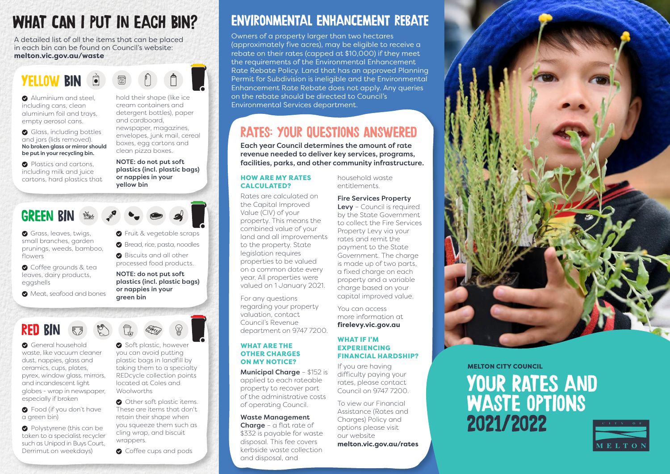# WHAT CAN I PUT IN EACH BIN?

A detailed list of all the items that can be placed in each bin can be found on Council's website: **melton.vic.gov.au/waste**

YFILOW RIN

**Aluminium and steel** including cans, clean aluminium foil and trays, empty aerosol cans.

Glass, including bottles and jars (lids removed). No broken glass or mirror should be put in your recycling bin.

**Plastics and cartons.** including milk and juice cartons, hard plastics that hold their shape (like ice cream containers and detergent bottles), paper and cardboard, newspaper, magazines, envelopes, junk mail, cereal boxes, egg cartons and clean pizza boxes.

NOTE: do not put soft plastics (incl. plastic bags) or nappies in your yellow bin

## GREEN BIN

Grass, leaves, twigs, small branches, garden prunings, weeds, bamboo, flowers

**O** Coffee grounds & tea leaves, dairy products, eggshells

 $\bullet$  Meat, seafood and bones



plastics (incl. plastic bags) or nappies in your green bin

# RED RIN

**General household** waste, like vacuum cleaner dust, nappies, glass and ceramics, cups, plates, pyrex, window glass, mirrors, and incandescent light globes - wrap in newspaper, especially if broken

**O** Food (if you don't have a green bin)

**O** Polystyrene (this can be taken to a specialist recycler such as Unipod in Buys Court, Derrimut on weekdays)

Soft plastic, however you can avoid putting plastic bags in landfill by taking them to a specialty REDcycle collection points located at Coles and **Woolworths** 

Other soft plastic items. These are items that don't retain their shape when you squeeze them such as cling wrap, and biscuit wrappers.

**Q** Coffee cups and pods

# ENVIRONMENTAL ENHANCEMENT REBATE

Owners of a property larger than two hectares (approximately five acres), may be eligible to receive a rebate on their rates (capped at \$10,000) if they meet the requirements of the Environmental Enhancement Rate Rebate Policy. Land that has an approved Planning Permit for Subdivision is ineligible and the Environmental Enhancement Rate Rebate does not apply. Any queries on the rebate should be directed to Council's Environmental Services department.

## RATES: YOUR QUESTIONS ANSWERED

Each year Council determines the amount of rate revenue needed to deliver key services, programs, facilities, parks, and other community infrastructure.

#### HOW ARE MY RATES CALCULATED?

Rates are calculated on the Capital Improved Value (CIV) of your property. This means the combined value of your land and all improvements to the property. State legislation requires properties to be valued on a common date every year. All properties were valued on 1 January 2021.

For any questions regarding your property valuation, contact Council's Revenue department on 9747 7200.

### WHAT ARE THE OTHER CHARGES ON MY NOTICE?

Municipal Charge – \$152 is applied to each rateable property to recover part of the administrative costs of operating Council.

#### Waste Management

**Charge** –  $\alpha$  flat rate of \$332 is payable for waste disposal. This fee covers kerbside waste collection and disposal, and

household waste entitlements.

#### Fire Services Property

Levy - Council is required by the State Government to collect the Fire Services Property Levy via your rates and remit the payment to the State Government. The charge is made up of two parts, a fixed charge on each property and a variable charge based on your capital improved value.

You can access more information at **firelevy.vic.gov.au**

#### WHAT IF I'M EXPERIENCING FINANCIAL HARDSHIP?

If you are having difficulty paying your rates, please contact Council on 9747 7200.

To view our Financial Assistance (Rates and Charges) Policy and options please visit our website

**melton.vic.gov.au/rates**



MELTON CITY COUNCIL

# YOUR RATES AND WASTE OPTIONS 2021/2022